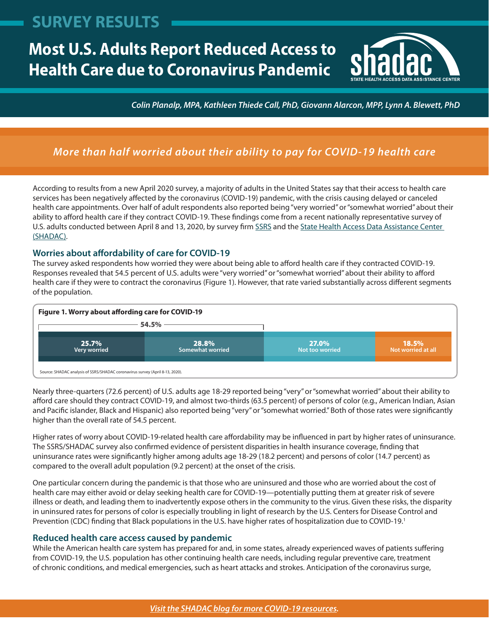## <span id="page-0-0"></span>**SURVEY RESULTS**

# **Most U.S. Adults Report Reduced Access to Health Care due to Coronavirus Pandemic**



*Colin Planalp, MPA, Kathleen Thiede Call, PhD, Giovann Alarcon, MPP, Lynn A. Blewett, PhD*

### *More than half worried about their ability to pay for COVID-19 health care*

According to results from a new April 2020 survey, a majority of adults in the United States say that their access to health care services has been negatively affected by the coronavirus (COVID-19) pandemic, with the crisis causing delayed or canceled health care appointments. Over half of adult respondents also reported being "very worried" or "somewhat worried" about their ability to afford health care if they contract COVID-19. These findings come from a recent nationally representative survey of U.S. adults conducted between April 8 and 13, 2020, by survey firm [SSRS](https://ssrs.com/) and the [State Health Access Data Assistance Center](https://www.shadac.org/)  [\(SHADAC\).](https://www.shadac.org/)

#### **Worries about affordability of care for COVID-19**

The survey asked respondents how worried they were about being able to afford health care if they contracted COVID-19. Responses revealed that 54.5 percent of U.S. adults were "very worried" or "somewhat worried" about their ability to afford health care if they were to contract the coronavirus (Figure 1). However, that rate varied substantially across different segments of the population.



Nearly three-quarters (72.6 percent) of U.S. adults age 18-29 reported being "very" or "somewhat worried" about their ability to afford care should they contract COVID-19, and almost two-thirds (63.5 percent) of persons of color (e.g., American Indian, Asian and Pacific islander, Black and Hispanic) also reported being "very" or "somewhat worried." Both of those rates were significantly higher than the overall rate of 54.5 percent.

Higher rates of worry about COVID-19-related health care affordability may be influenced in part by higher rates of uninsurance. The SSRS/SHADAC survey also confirmed evidence of persistent disparities in health insurance coverage, finding that uninsurance rates were significantly higher among adults age 18-29 (18.2 percent) and persons of color (14.7 percent) as compared to the overall adult population (9.2 percent) at the onset of the crisis.

One particular concern during the pandemic is that those who are uninsured and those who are worried about the cost of health care may either avoid or delay seeking health care for COVID-19—potentially putting them at greater risk of severe illness or death, and leading them to inadvertently expose others in the community to the virus. Given these risks, the disparity in uninsured rates for persons of color is especially troubling in light of research by the U.S. Centers for Disease Control and Prevention (CDC) finding that Black populations in the U.S. have higher rates of hospitalization due to COVID-19[.1](#page-1-0)

#### **Reduced health care access caused by pandemic**

While the American health care system has prepared for and, in some states, already experienced waves of patients suffering from COVID-19, the U.S. population has other continuing health care needs, including regular preventive care, treatment of chronic conditions, and medical emergencies, such as heart attacks and strokes. Anticipation of the coronavirus surge,